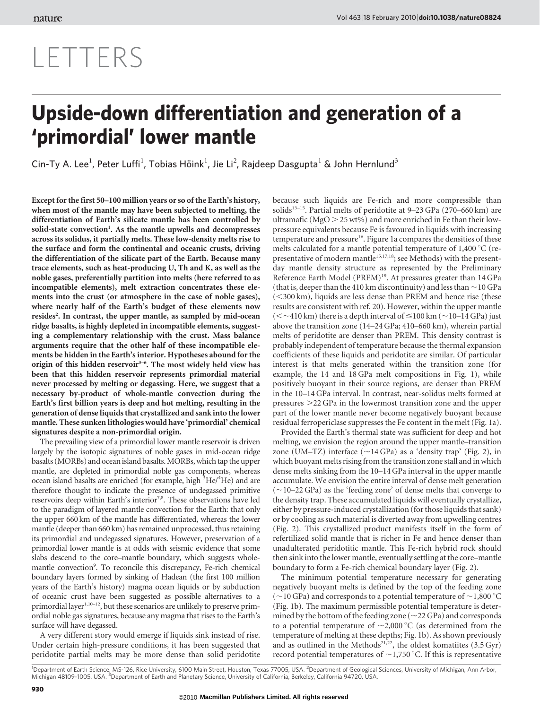# LETTERS

## Upside-down differentiation and generation of a 'primordial' lower mantle

Cin-Ty A. Lee<sup>1</sup>, Peter Luffi<sup>1</sup>, Tobias Höink<sup>1</sup>, Jie Li<sup>2</sup>, Rajdeep Dasgupta<sup>1</sup> & John Hernlund<sup>3</sup>

Except for the first 50–100 million years or so of the Earth's history, when most of the mantle may have been subjected to melting, the differentiation of Earth's silicate mantle has been controlled by solid-state convection<sup>1</sup>. As the mantle upwells and decompresses across its solidus, it partially melts. These low-density melts rise to the surface and form the continental and oceanic crusts, driving the differentiation of the silicate part of the Earth. Because many trace elements, such as heat-producing U, Th and K, as well as the noble gases, preferentially partition into melts (here referred to as incompatible elements), melt extraction concentrates these elements into the crust (or atmosphere in the case of noble gases), where nearly half of the Earth's budget of these elements now resides<sup>2</sup>. In contrast, the upper mantle, as sampled by mid-ocean ridge basalts, is highly depleted in incompatible elements, suggesting a complementary relationship with the crust. Mass balance arguments require that the other half of these incompatible elements be hidden in the Earth's interior. Hypotheses abound for the origin of this hidden reservoir<sup>3-6</sup>. The most widely held view has been that this hidden reservoir represents primordial material never processed by melting or degassing. Here, we suggest that a necessary by-product of whole-mantle convection during the Earth's first billion years is deep and hot melting, resulting in the generation of dense liquids that crystallized and sank into the lower mantle. These sunken lithologies would have 'primordial' chemical signatures despite a non-primordial origin.

The prevailing view of a primordial lower mantle reservoir is driven largely by the isotopic signatures of noble gases in mid-ocean ridge basalts (MORBs) and ocean island basalts.MORBs, which tap the upper mantle, are depleted in primordial noble gas components, whereas ocean island basalts are enriched (for example, high <sup>3</sup>He/<sup>4</sup>He) and are therefore thought to indicate the presence of undegassed primitive reservoirs deep within Earth's interior<sup>7,8</sup>. These observations have led to the paradigm of layered mantle convection for the Earth: that only the upper 660 km of the mantle has differentiated, whereas the lower mantle (deeper than 660 km) has remained unprocessed, thus retaining its primordial and undegassed signatures. However, preservation of a primordial lower mantle is at odds with seismic evidence that some slabs descend to the core–mantle boundary, which suggests wholemantle convection<sup>9</sup>. To reconcile this discrepancy, Fe-rich chemical boundary layers formed by sinking of Hadean (the first 100 million years of the Earth's history) magma ocean liquids or by subduction of oceanic crust have been suggested as possible alternatives to a primordial layer<sup>1,10-12</sup>, but these scenarios are unlikely to preserve primordial noble gas signatures, because any magma that rises to the Earth's surface will have degassed.

A very different story would emerge if liquids sink instead of rise. Under certain high-pressure conditions, it has been suggested that peridotite partial melts may be more dense than solid peridotite

because such liquids are Fe-rich and more compressible than solids<sup>13–15</sup>. Partial melts of peridotite at  $9-23$  GPa (270–660 km) are ultramafic ( $MgO > 25$  wt%) and more enriched in Fe than their lowpressure equivalents because Fe is favoured in liquids with increasing temperature and pressure<sup>16</sup>. Figure 1a compares the densities of these melts calculated for a mantle potential temperature of 1,400  $^{\circ}$ C (representative of modern mantle<sup>15,17,18</sup>; see Methods) with the presentday mantle density structure as represented by the Preliminary Reference Earth Model (PREM)<sup>19</sup>. At pressures greater than 14 GPa (that is, deeper than the 410 km discontinuity) and less than  $\sim$  10 GPa  $(<$ 300 km), liquids are less dense than PREM and hence rise (these results are consistent with ref. 20). However, within the upper mantle  $(<$  -410 km) there is a depth interval of  $\leq$  100 km ( $\sim$  10–14 GPa) just above the transition zone (14–24 GPa; 410–660 km), wherein partial melts of peridotite are denser than PREM. This density contrast is probably independent of temperature because the thermal expansion coefficients of these liquids and peridotite are similar. Of particular interest is that melts generated within the transition zone (for example, the 14 and 18 GPa melt compositions in Fig. 1), while positively buoyant in their source regions, are denser than PREM in the 10–14 GPa interval. In contrast, near-solidus melts formed at pressures  $>$  22 GPa in the lowermost transition zone and the upper part of the lower mantle never become negatively buoyant because residual ferropericlase suppresses the Fe content in the melt (Fig. 1a).

Provided the Earth's thermal state was sufficient for deep and hot melting, we envision the region around the upper mantle–transition zone (UM–TZ) interface  $(\sim 14 \text{ GPa})$  as a 'density trap' (Fig. 2), in which buoyant melts rising from the transition zone stall and in which dense melts sinking from the 10–14 GPa interval in the upper mantle accumulate. We envision the entire interval of dense melt generation  $(-10-22 \text{ GPa})$  as the 'feeding zone' of dense melts that converge to the density trap. These accumulated liquids will eventually crystallize, either by pressure-induced crystallization (for those liquids that sank) or by cooling as such material is diverted away from upwelling centres (Fig. 2). This crystallized product manifests itself in the form of refertilized solid mantle that is richer in Fe and hence denser than unadulterated peridotitic mantle. This Fe-rich hybrid rock should then sink into the lower mantle, eventually settling at the core–mantle boundary to form a Fe-rich chemical boundary layer (Fig. 2).

The minimum potential temperature necessary for generating negatively buoyant melts is defined by the top of the feeding zone ( $\sim$ 10 GPa) and corresponds to a potential temperature of  $\sim$ 1,800 °C (Fig. 1b). The maximum permissible potential temperature is determined by the bottom of the feeding zone ( $\sim$ 22 GPa) and corresponds to a potential temperature of  $\sim$ 2,000 °C (as determined from the temperature of melting at these depths; Fig. 1b). As shown previously and as outlined in the Methods<sup>21,22</sup>, the oldest komatiites  $(3.5 \text{ Gyr})$ record potential temperatures of  $\sim$ 1,750 °C. If this is representative

<sup>1</sup>Department of Earth Science, MS-126, Rice University, 6100 Main Street, Houston, Texas 77005, USA. <sup>2</sup>Department of Geological Sciences, University of Michigan, Ann Arbor, Michigan 48109-1005, USA. <sup>3</sup>Department of Earth and Planetary Science, University of California, Berkeley, California 94720, USA.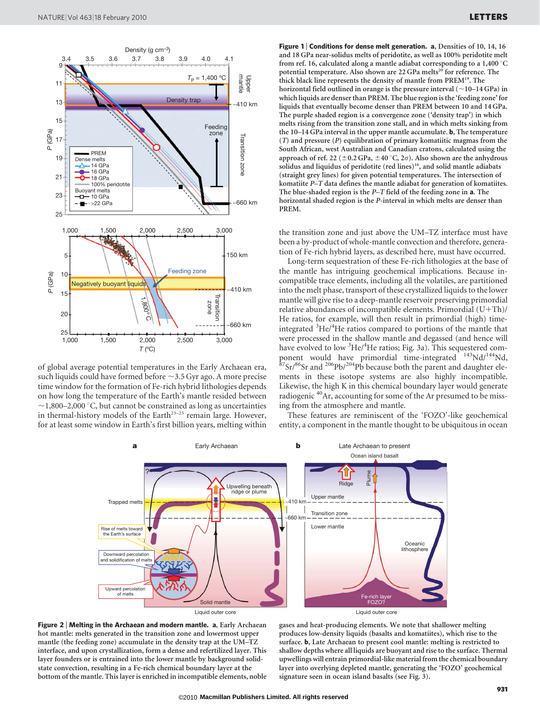

of global average potential temperatures in the Early Archaean era, such liquids could have formed before  $\sim$ 3.5 Gyr ago. A more precise time window for the formation of Fe-rich hybrid lithologies depends on how long the temperature of the Earth's mantle resided between  $\sim$ 1,800–2,000 °C, but cannot be constrained as long as uncertainties in thermal-history models of the Earth<sup>23-25</sup> remain large. However, for at least some window in Earth's first billion years, melting within

Figure 1 | Conditions for dense melt generation. a, Densities of 10, 14, 16 and 18 GPa near-solidus melts of peridotite, as well as 100% peridotite melt from ref. 16, calculated along a mantle adiabat corresponding to a 1,400  $^{\circ}$ C potential temperature. Also shown are 22 GPa melts<sup>20</sup> for reference. The thick black line represents the density of mantle from PREM<sup>19</sup>. The horizontal field outlined in orange is the pressure interval  $(\sim10-14$  GPa) in which liquids are denser than PREM. The blue region is the 'feeding zone' for liquids that eventually become denser than PREM between 10 and 14 GPa. The purple shaded region is a convergence zone ('density trap') in which melts rising from the transition zone stall, and in which melts sinking from the 10–14 GPa interval in the upper mantle accumulate. b, The temperature (T) and pressure (P) equilibration of primary komatiitic magmas from the South African, west Australian and Canadian cratons, calculated using the approach of ref. 22 ( $\pm$ 0.2 GPa,  $\pm$ 40 °C, 2 $\sigma$ ). Also shown are the anhydrous solidus and liquidus of peridotite (red lines)<sup>16</sup>, and solid mantle adiabats (straight grey lines) for given potential temperatures. The intersection of komatiite P–T data defines the mantle adiabat for generation of komatiites. The blue-shaded region is the P–T field of the feeding zone in a. The horizontal shaded region is the P-interval in which melts are denser than PREM.

the transition zone and just above the UM–TZ interface must have been a by-product of whole-mantle convection and therefore, generation of Fe-rich hybrid layers, as described here, must have occurred.

Long-term sequestration of these Fe-rich lithologies at the base of the mantle has intriguing geochemical implications. Because incompatible trace elements, including all the volatiles, are partitioned into the melt phase, transport of these crystallized liquids to the lower mantle will give rise to a deep-mantle reservoir preserving primordial relative abundances of incompatible elements. Primordial  $(U+Th)$ / He ratios, for example, will then result in primordial (high) timeintegrated <sup>3</sup>He/<sup>4</sup>He ratios compared to portions of the mantle that were processed in the shallow mantle and degassed (and hence will have evolved to low <sup>3</sup>He/<sup>4</sup>He ratios; Fig. 3a). This sequestered component would have primordial time-integrated  $^{143}$ Nd/<sup>144</sup>Nd,  $^{87}$ Sr/ $^{86}$ Sr and  $^{206}$ Pb/ $^{204}$ Pb because both the parent and daughter elements in these isotope systems are also highly incompatible. Likewise, the high K in this chemical boundary layer would generate radiogenic 40Ar, accounting for some of the Ar presumed to be missing from the atmosphere and mantle.

These features are reminiscent of the 'FOZO'-like geochemical entity, a component in the mantle thought to be ubiquitous in ocean





gases and heat-producing elements. We note that shallower melting produces low-density liquids (basalts and komatiites), which rise to the surface. b, Late Archaean to present cool mantle: melting is restricted to shallow depths where all liquids are buoyant and rise to the surface. Thermal upwellings will entrain primordial-like material from the chemical boundary layer into overlying depleted mantle, generating the 'FOZO' geochemical signature seen in ocean island basalts (see Fig. 3).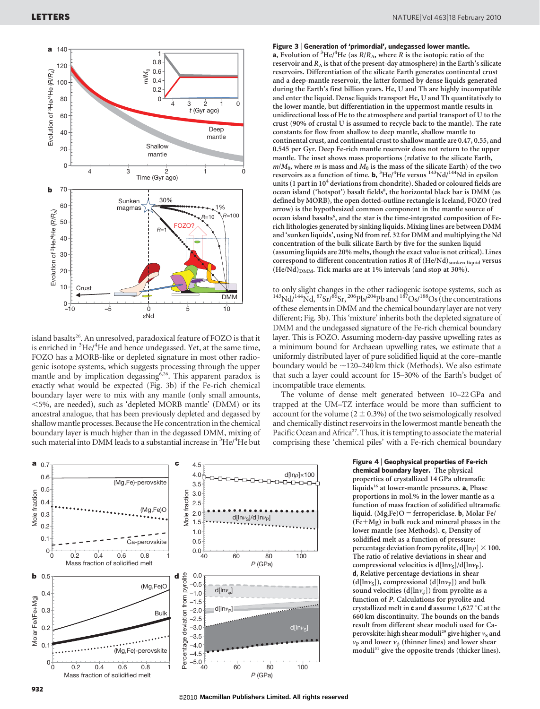

island basalts<sup>26</sup>. An unresolved, paradoxical feature of FOZO is that it is enriched in <sup>3</sup>He/<sup>4</sup>He and hence undegassed. Yet, at the same time, FOZO has a MORB-like or depleted signature in most other radiogenic isotope systems, which suggests processing through the upper mantle and by implication degassing<sup>6,26</sup>. This apparent paradox is exactly what would be expected (Fig. 3b) if the Fe-rich chemical boundary layer were to mix with any mantle (only small amounts, ,5%, are needed), such as 'depleted MORB mantle' (DMM) or its ancestral analogue, that has been previously depleted and degassed by shallow mantle processes. Because the He concentration in the chemical boundary layer is much higher than in the degassed DMM, mixing of such material into DMM leads to a substantial increase in <sup>3</sup>He/<sup>4</sup>He but



#### Figure 3 <sup>|</sup> Generation of 'primordial', undegassed lower mantle.

**a**, Evolution of <sup>3</sup>He/<sup>4</sup>He (as  $R/R_A$ , where R is the isotopic ratio of the reservoir and  $R_A$  is that of the present-day atmosphere) in the Earth's silicate reservoirs. Differentiation of the silicate Earth generates continental crust and a deep-mantle reservoir, the latter formed by dense liquids generated during the Earth's first billion years. He, U and Th are highly incompatible and enter the liquid. Dense liquids transport He, U and Th quantitatively to the lower mantle, but differentiation in the uppermost mantle results in unidirectional loss of He to the atmosphere and partial transport of U to the crust (90% of crustal U is assumed to recycle back to the mantle). The rate constants for flow from shallow to deep mantle, shallow mantle to continental crust, and continental crust to shallow mantle are 0.47, 0.55, and 0.545 per Gyr. Deep Fe-rich mantle reservoir does not return to the upper mantle. The inset shows mass proportions (relative to the silicate Earth,  $m/M_0$ , where *m* is mass and  $M_0$  is the mass of the silicate Earth) of the two reservoirs as a function of time. **b**, <sup>3</sup>He/<sup>4</sup>He versus <sup>143</sup>Nd/<sup>144</sup>Nd in epsilon units (1 part in  $10<sup>4</sup>$  deviations from chondrite). Shaded or coloured fields are ocean island ('hotspot') basalt fields<sup>8</sup>, the horizontal black bar is DMM (as defined by MORB), the open dotted-outline rectangle is Iceland, FOZO (red arrow) is the hypothesized common component in the mantle source of ocean island basalts<sup>6</sup>, and the star is the time-integrated composition of Ferich lithologies generated by sinking liquids. Mixing lines are between DMM and 'sunken liquids', using Nd from ref. 32 for DMM and multiplying the Nd concentration of the bulk silicate Earth by five for the sunken liquid (assuming liquids are 20% melts, though the exact value is not critical). Lines correspond to different concentration ratios  $R$  of  $(He/Nd)$ <sub>sunken liquid</sub> versus  $(He/Nd)_{\text{DMM}}$ . Tick marks are at 1% intervals (and stop at 30%).

to only slight changes in the other radiogenic isotope systems, such as  $^{143}Nd/^{144}Nd, ^{87}Sr/^{86}Sr, ^{206}Pb/^{204}Pb$  and  $^{187}Os/^{188}Os$  (the concentrations of these elements in DMM and the chemical boundary layer are not very different; Fig. 3b). This 'mixture' inherits both the depleted signature of DMM and the undegassed signature of the Fe-rich chemical boundary layer. This is FOZO. Assuming modern-day passive upwelling rates as a minimum bound for Archaean upwelling rates, we estimate that a uniformly distributed layer of pure solidified liquid at the core–mantle boundary would be  $\sim$ 120–240 km thick (Methods). We also estimate that such a layer could account for 15–30% of the Earth's budget of incompatible trace elements.

The volume of dense melt generated between 10–22 GPa and trapped at the UM–TZ interface would be more than sufficient to account for the volume ( $2 \pm 0.3$ %) of the two seismologically resolved and chemically distinct reservoirs in the lowermost mantle beneath the Pacific Ocean and Africa<sup>27</sup>. Thus, it is tempting to associate the material comprising these 'chemical piles' with a Fe-rich chemical boundary

#### Figure 4 <sup>|</sup> Geophysical properties of Fe-rich chemical boundary layer. The physical

properties of crystallized 14 GPa ultramafic liquids<sup>16</sup> at lower-mantle pressures. a, Phase proportions in mol.% in the lower mantle as a function of mass fraction of solidified ultramafic liquid.  $(Mg,Fe)O =$  ferropericlase. **b**, Molar Fe/  $(Fe+Mg)$  in bulk rock and mineral phases in the lower mantle (see Methods). c, Density of solidified melt as a function of pressure: percentage deviation from pyrolite,  $d[ln \rho] \times 100$ . The ratio of relative deviations in shear and compressional velocities is  $d[lnv<sub>s</sub>]/d[lnv<sub>p</sub>].$ d, Relative percentage deviations in shear  $(d[lnv<sub>S</sub>]),$  compressional  $(d[lnv<sub>P</sub>])$  and bulk sound velocities (d[ln $v_{\phi}$ ]) from pyrolite as a function of P. Calculations for pyrolite and crystallized melt in  ${\bf c}$  and  ${\bf d}$  assume 1,627  $^{\circ}{\rm C}$  at the 660 km discontinuity. The bounds on the bands result from different shear moduli used for Caperovskite: high shear moduli<sup>29</sup> give higher  $v_S$  and  $v_{\rm P}$  and lower  $v_{\phi}$  (thinner lines) and lower shear moduli<sup>31</sup> give the opposite trends (thicker lines).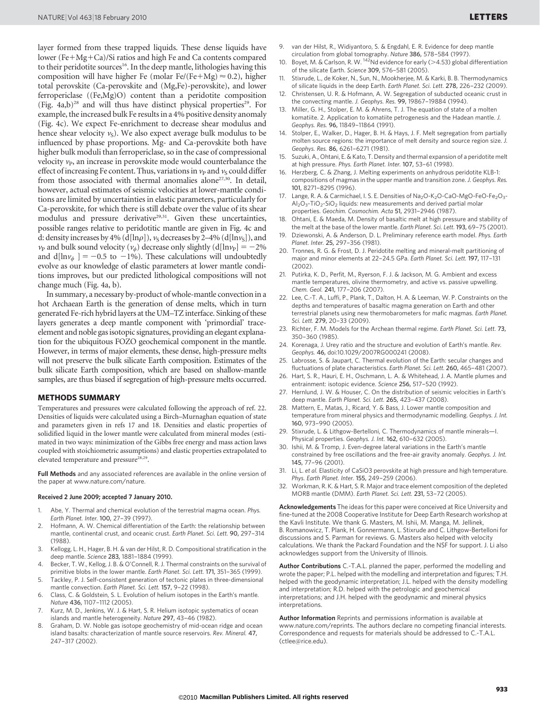layer formed from these trapped liquids. These dense liquids have lower (Fe $+Mg+Ca$ )/Si ratios and high Fe and Ca contents compared to their peridotite sources<sup>16</sup>. In the deep mantle, lithologies having this composition will have higher Fe (molar Fe/(Fe+Mg)  $\approx$  0.2), higher total perovskite (Ca-perovskite and (Mg,Fe)-perovskite), and lower ferropericlase ((Fe,Mg)O) content than a peridotite composition (Fig.  $4a,b$ )<sup>28</sup> and will thus have distinct physical properties<sup>29</sup>. For example, the increased bulk Fe results in a 4% positive density anomaly (Fig. 4c). We expect Fe-enrichment to decrease shear modulus and hence shear velocity  $v<sub>S</sub>$ ). We also expect average bulk modulus to be influenced by phase proportions. Mg- and Ca-perovskite both have higher bulk moduli than ferropericlase, so in the case of compressional velocity  $v_{\rm P}$ , an increase in perovskite mode would counterbalance the effect of increasing Fe content. Thus, variations in  $v<sub>P</sub>$  and  $v<sub>S</sub>$  could differ from those associated with thermal anomalies alone<sup>27,30</sup>. In detail, however, actual estimates of seismic velocities at lower-mantle conditions are limited by uncertainties in elastic parameters, particularly for Ca-perovskite, for which there is still debate over the value of its shear modulus and pressure derivative<sup>29,31</sup>. Given these uncertainties, possible ranges relative to peridotitic mantle are given in Fig. 4c and d: density increases by 4% (d[ln $\rho$ ]),  $v_S$  decreases by 2–4% (d[ln $v_S$ ]), and  $v_P$  and bulk sound velocity  $(v_\phi)$  decrease only slightly  $(d[\ln v_P] = -2\%$ and  $d[\ln v_{\phi}] = -0.5$  to  $-1\%$ ). These calculations will undoubtedly evolve as our knowledge of elastic parameters at lower mantle conditions improves, but our predicted lithological compositions will not change much (Fig. 4a, b).

In summary, a necessary by-product of whole-mantle convection in a hot Archaean Earth is the generation of dense melts, which in turn generated Fe-rich hybrid layers at the UM–TZ interface. Sinking of these layers generates a deep mantle component with 'primordial' traceelement and noble gas isotopic signatures, providing an elegant explanation for the ubiquitous FOZO geochemical component in the mantle. However, in terms of major elements, these dense, high-pressure melts will not preserve the bulk silicate Earth composition. Estimates of the bulk silicate Earth composition, which are based on shallow-mantle samples, are thus biased if segregation of high-pressure melts occurred.

#### METHODS SUMMARY

Temperatures and pressures were calculated following the approach of ref. 22. Densities of liquids were calculated using a Birch–Murnaghan equation of state and parameters given in refs 17 and 18. Densities and elastic properties of solidified liquid in the lower mantle were calculated from mineral modes (estimated in two ways: minimization of the Gibbs free energy and mass action laws coupled with stoichiometric assumptions) and elastic properties extrapolated to elevated temperature and pressure<sup>28,29</sup>.

Full Methods and any associated references are available in the online version of the paper at<www.nature.com/nature>.

#### Received 2 June 2009; accepted 7 January 2010.

- 1. Abe, Y. Thermal and chemical evolution of the terrestrial magma ocean. Phys. Earth Planet. Inter. 100, 27–39 (1997).
- 2. Hofmann, A. W. Chemical differentiation of the Earth: the relationship between mantle, continental crust, and oceanic crust. Earth Planet. Sci. Lett. 90, 297–314 (1988).
- 3. Kellogg, L. H., Hager, B. H. & van der Hilst, R. D. Compositional stratification in the deep mantle. Science 283, 1881–1884 (1999).
- 4. Becker, T. W., Kellog, J. B. & O'Connell, R. J. Thermal constraints on the survival of primitive blobs in the lower mantle. Earth Planet. Sci. Lett. 171, 351–365 (1999).
- 5. Tackley, P. J. Self-consistent generation of tectonic plates in three-dimensional mantle convection. Earth Planet. Sci. Lett. 157, 9–22 (1998).
- 6. Class, C. & Goldstein, S. L. Evolution of helium isotopes in the Earth's mantle. Nature 436, 1107–1112 (2005).
- 7. Kurz, M. D., Jenkins, W. J. & Hart, S. R. Helium isotopic systematics of ocean islands and mantle heterogeneity. Nature 297, 43–46 (1982).
- 8. Graham, D. W. Noble gas isotope geochemistry of mid-ocean ridge and ocean island basalts: characterization of mantle source reservoirs. Rev. Mineral. 47, 247–317 (2002).
- 9. van der Hilst, R., Widiyantoro, S. & Engdahl, E. R. Evidence for deep mantle circulation from global tomography. Nature 386, 578–584 (1997).
- 10. Boyet, M. & Carlson, R. W.  $^{142}$ Nd evidence for early (>4.53) global differentiation of the silicate Earth. Science 309, 576–581 (2005).
- Stixrude, L., de Koker, N., Sun, N., Mookherjee, M. & Karki, B. B. Thermodynamics of silicate liquids in the deep Earth. Earth Planet. Sci. Lett. 278, 226–232 (2009).
- 12. Christensen, U. R. & Hofmann, A. W. Segregation of subducted oceanic crust in the convecting mantle. J. Geophys. Res. 99, 19867–19884 (1994).
- 13. Miller, G. H., Stolper, E. M. & Ahrens, T. J. The equation of state of a molten komatiite. 2. Application to komatiite petrogenesis and the Hadean mantle. J. Geophys. Res. 96, 11849–11864 (1991).
- 14. Stolper, E., Walker, D., Hager, B. H. & Hays, J. F. Melt segregation from partially molten source regions: the importance of melt density and source region size. J. Geophys. Res. 86, 6261–6271 (1981).
- 15. Suzuki, A., Ohtani, E. & Kato, T. Density and thermal expansion of a peridotite melt at high pressure. Phys. Earth Planet. Inter. 107, 53–61 (1998).
- 16. Herzberg, C. & Zhang, J. Melting experiments on anhydrous peridotite KLB-1: compositions of magmas in the upper mantle and transition zone. J. Geophys. Res. 101, 8271–8295 (1996).
- 17. Lange, R. A. & Carmichael, I. S. E. Densities of Na<sub>2</sub>O-K<sub>2</sub>O-CaO-MgO-FeO-Fe<sub>2</sub>O<sub>3</sub>- $Al_2O_3$ -TiO<sub>2</sub>-SiO<sub>2</sub> liquids: new measurements and derived partial molar properties. Geochim. Cosmochim. Acta 51, 2931–2946 (1987).
- 18. Ohtani, E. & Maeda, M. Density of basaltic melt at high pressure and stability of the melt at the base of the lower mantle. Earth Planet. Sci. Lett. 193, 69–75 (2001).
- 19. Dziewonski, A. & Anderson, D. L. Preliminary reference earth model. Phys. Earth Planet. Inter. 25, 297–356 (1981).
- 20. Tronnes, R. G. & Frost, D. J. Peridotite melting and mineral-melt partitioning of major and minor elements at 22–24.5 GPa. Earth Planet. Sci. Lett. 197, 117–131 (2002).
- 21. Putirka, K. D., Perfit, M., Ryerson, F. J. & Jackson, M. G. Ambient and excess mantle temperatures, olivine thermometry, and active vs. passive upwelling. Chem. Geol. 241, 177–206 (2007).
- 22. Lee, C.-T. A., Luffi, P., Plank, T., Dalton, H. A. & Leeman, W. P. Constraints on the depths and temperatures of basaltic magma generation on Earth and other terrestrial planets using new thermobarometers for mafic magmas. Earth Planet. Sci. Lett. 279, 20–33 (2009).
- 23. Richter, F. M. Models for the Archean thermal regime. Earth Planet. Sci. Lett. 73, 350–360 (1985).
- 24. Korenaga, J. Urey ratio and the structure and evolution of Earth's mantle. Rev. Geophys. 46, doi:10.1029/2007RG000241 (2008).
- 25. Labrosse, S. & Jaupart, C. Thermal evolution of the Earth: secular changes and fluctuations of plate characteristics. Earth Planet. Sci. Lett. 260, 465–481 (2007).
- 26. Hart, S. R., Hauri, E. H., Oschmann, L. A. & Whitehead, J. A. Mantle plumes and entrainment: isotopic evidence. Science 256, 517–520 (1992).
- 27. Hernlund, J. W. & Houser, C. On the distribution of seismic velocities in Earth's deep mantle. Earth Planet. Sci. Lett. 265, 423–437 (2008).
- 28. Mattern, E., Matas, J., Ricard, Y. & Bass, J. Lower mantle composition and temperature from mineral physics and thermodynamic modelling. Geophys. J. Int. 160, 973–990 (2005).
- 29. Stixrude, L. & Lithgow-Bertelloni, C. Thermodynamics of mantle minerals—I. Physical properties. Geophys. J. Int. 162, 610-632 (2005).
- 30. Ishii, M. & Tromp, J. Even-degree lateral variations in the Earth's mantle constrained by free oscillations and the free-air gravity anomaly. Geophys. J. Int. 145, 77–96 (2001).
- 31. Li, L. et al. Elasticity of CaSiO3 perovskite at high pressure and high temperature. Phys. Earth Planet. Inter. 155, 249–259 (2006).
- 32. Workman, R. K. & Hart, S. R. Major and trace element composition of the depleted MORB mantle (DMM). Earth Planet. Sci. Lett. 231, 53–72 (2005).

Acknowledgements The ideas for this paper were conceived at Rice University and fine-tuned at the 2008 Cooperative Institute for Deep Earth Research workshop at the Kavli Institute. We thank G. Masters, M. Ishii, M. Manga, M. Jellinek, B. Romanowicz, T. Plank, H. Gonnermann, L. Stixrude and C. Lithgow-Bertelloni for discussions and S. Parman for reviews. G. Masters also helped with velocity calculations. We thank the Packard Foundation and the NSF for support. J. Li also acknowledges support from the University of Illinois.

Author Contributions C.-T.A.L. planned the paper, performed the modelling and wrote the paper; P.L. helped with the modelling and interpretation and figures; T.H. helped with the geodynamic interpretation; J.L. helped with the density modelling and interpretation; R.D. helped with the petrologic and geochemical interpretations; and J.H. helped with the geodynamic and mineral physics interpretations.

Author Information Reprints and permissions information is available at <www.nature.com/reprints>. The authors declare no competing financial interests. Correspondence and requests for materials should be addressed to C.-T.A.L. [\(ctlee@rice.edu\).](mailto:ctlee@rice.edu)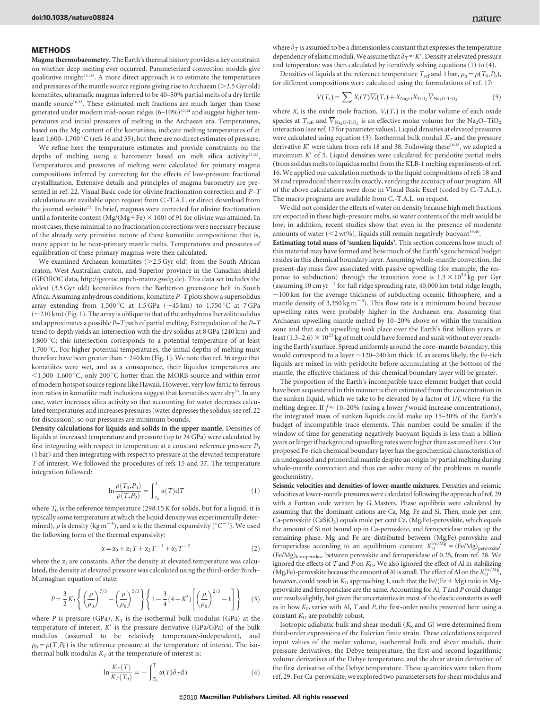### METHODS

Magma thermobarometry. The Earth's thermal history provides a key constraint on whether deep melting ever occurred. Parameterized convection models give qualitative insight<sup>23-25</sup>. A more direct approach is to estimate the temperatures and pressures of the mantle source regions giving rise to Archaean ( $>$ 2.5 Gyr old) komatiites, ultramafic magmas inferred to be 40–50% partial melts of a dry fertile mantle source<sup>16,33</sup>. These estimated melt fractions are much larger than those generated under modern mid-ocean ridges  $(6-10\%)^{32,34}$  and suggest higher temperatures and initial pressures of melting in the Archaean era. Temperatures, based on the Mg content of the komatiites, indicate melting temperatures of at least  $1,600-1,700\,^{\circ}$ C (refs 16 and 35), but there are no direct estimates of pressure.

We refine here the temperature estimates and provide constraints on the depths of melting using a barometer based on melt silica activity<sup>21,22</sup>. Temperatures and pressures of melting were calculated for primary magma compositions inferred by correcting for the effects of low-pressure fractional crystallization. Extensive details and principles of magma barometry are presented in ref. 22. Visual Basic code for olivine fractionation correction and P–T calculations are available upon request from C.-T.A.L. or direct download from the journal website<sup>22</sup>. In brief, magmas were corrected for olivine fractionation until a forsterite content (Mg/(Mg+Fe)  $\times$  100) of 91 for olivine was attained. In most cases, these minimal to no fractionation corrections were necessary because of the already very primitive nature of these komatiite compositions: that is, many appear to be near-primary mantle melts. Temperatures and pressures of equilibration of these primary magmas were then calculated.

We examined Archaean komatiites ( $>2.5$  Gyr old) from the South African craton, West Australian craton, and Superior province in the Canadian shield (GEOROC data, [http://georoc.mpch-mainz.gwdg.de\)](http://georoc.mpch-mainz.gwdg.de). This data set includes the oldest (3.5 Gyr old) komatiites from the Barberton greenstone belt in South Africa. Assuming anhydrous conditions, komatiite P–Tplots show a supersolidus array extending from  $1,500\,^{\circ}\text{C}$  at  $1.5\,\text{GPa}$  ( $\sim$ 45 km) to  $1,750\,^{\circ}\text{C}$  at  $7\,\text{GPa}$  $(-210 \text{ km})$  (Fig. 1). The array is oblique to that of the anhydrous lherzolite solidus and approximates a possible P–T path of partial melting. Extrapolation of the P–T trend to depth yields an intersection with the dry solidus at 8 GPa (240 km) and 1,800 °C; this intersection corresponds to a potential temperature of at least 1,700 °C. For higher potential temperatures, the initial depths of melting must therefore have been greater than  $\sim$  240 km (Fig. 1). We note that ref. 36 argue that komatiites were wet, and as a consequence, their liquidus temperatures are  $<$ 1,500–1,600 °C, only 200 °C hotter than the MORB source and within error of modern hotspot source regions like Hawaii. However, very low ferric to ferrous iron ratios in komatiite melt inclusions suggest that komatiites were dry<sup>33</sup>. In any case, water increases silica activity so that accounting for water decreases calculated temperatures and increases pressures (water depresses the solidus; see ref. 22 for discussion), so our pressures are minimum bounds.

Density calculations for liquids and solids in the upper mantle. Densities of liquids at increased temperature and pressure (up to 24 GPa) were calculated by first integrating with respect to temperature at a constant reference pressure  $P_0$ (1 bar) and then integrating with respect to pressure at the elevated temperature T of interest. We followed the procedures of refs 15 and 37. The temperature integration followed:

$$
\ln \frac{\rho(T_0, P_0)}{\rho(T, P_0)} = \int_{T_0}^T \alpha(T) dT \qquad (1)
$$

where  $T_0$  is the reference temperature (298.15 K for solids, but for a liquid, it is typically some temperature at which the liquid density was experimentally determined),  $\rho$  is density (kg m<sup>-3</sup>), and  $\alpha$  is the thermal expansivity (°C<sup>-1</sup>). We used the following form of the thermal expansivity:

$$
\alpha = \alpha_0 + \alpha_1 T + \alpha_2 T^{-1} + \alpha_3 T^{-2} \tag{2}
$$

where the  $\alpha_i$  are constants. After the density at elevated temperature was calculated, the density at elevated pressure was calculated using the third-order Birch– Murnaghan equation of state:

$$
P = \frac{3}{2} K_T \left\{ \left( \frac{\rho}{\rho_0} \right)^{7/3} - \left( \frac{\rho}{\rho_0} \right)^{5/3} \right\} \left\{ 1 - \frac{3}{4} (4 - K') \left[ \left( \frac{\rho}{\rho_0} \right)^{2/3} - 1 \right] \right\}
$$
(3)

where P is pressure (GPa),  $K_T$  is the isothermal bulk modulus (GPa) at the temperature of interest,  $K'$  is the pressure-derivative (GPa/GPa) of the bulk modulus (assumed to be relatively temperature-independent), and  $\rho_0 = \rho(T, P_0)$  is the reference pressure at the temperature of interest. The isothermal bulk modulus  $K_T$  at the temperature of interest is:

$$
\ln \frac{K_T(T)}{K_T(T_0)} = -\int_{T_0}^T \alpha(T) \delta_T \mathbf{d} T \tag{4}
$$

where  $\delta_T$  is assumed to be a dimensionless constant that expresses the temperature dependency of elastic moduli. We assume that  $\delta_T\!\approx\!K'.$  Density at elevated pressure and temperature was then calculated by iteratively solving equations (1) to (4).

Densities of liquids at the reference temperature  $T_{ref}$  and 1 bar,  $\rho_0 = \rho(T_0, P_0)$ , for different compositions were calculated using the formulations of ref. 17:

$$
V(T_r) = \sum X_i(T)\overline{V_i}(T_r) + X_{\text{Na}_2\text{O}}X_{\text{TiO}_2}\overline{V}_{\text{Na}_2\text{O}\cdot\text{TiO}_2}
$$
(5)

where  $X_i$  is the oxide mole fraction,  $\overline{V_i}(T_r)$  is the molar volume of each oxide species at  $T_{\text{ref}}$ , and  $\overline{V}_{\text{Na}_2\text{O-TiO}_2}$  is an effective molar volume for the Na<sub>2</sub>O–TiO<sub>2</sub> interaction (see ref. 17 for parameter values). Liquid densities at elevated pressures were calculated using equation (3). Isothermal bulk moduli  $K_T$  and the pressure derivative  $K'$  were taken from refs 18 and 38. Following these<sup>18,38</sup>, we adopted a maximum  $K'$  of 5. Liquid densities were calculated for peridotite partial melts (from solidus melts to liquidus melts) from the KLB-1 melting experiments of ref. 16. We applied our calculation methods to the liquid compositions of refs 18 and 38 and reproduced their results exactly, verifying the accuracy of our program. All of the above calculations were done in Visual Basic Excel (coded by C.-T.A.L.). The macro programs are available from C.-T.A.L. on request.

We did not consider the effects of water on density because high melt fractions are expected in these high-pressure melts, so water contents of the melt would be low; in addition, recent studies show that even in the presence of moderate amounts of water ( $<$ 2 wt%), liquids still remain negatively buoyant<sup>39,40</sup>.

Estimating total mass of 'sunken liquids'. This section concerns how much of this material may have formed and how much of the Earth's geochemical budget resides in this chemical boundary layer. Assuming whole-mantle convection, the present-day mass flow associated with passive upwelling (for example, the response to subduction) through the transition zone is  $1.3 \times 10^{24}$  kg per Gyr (assuming 10 cm yr<sup>-1</sup> for full ridge spreading rate, 40,000 km total ridge length,  $\sim$ 100 km for the average thickness of subducting oceanic lithosphere, and a mantle density of  $3,350 \text{ kg m}^{-3}$ ). This flow rate is a minimum bound because upwelling rates were probably higher in the Archaean era. Assuming that Archaean upwelling mantle melted by 10–20% above or within the transition zone and that such upwelling took place over the Earth's first billion years, at least (1.3–2.6)  $\times$  10<sup>23</sup> kg of melt could have formed and sunk without ever reaching the Earth's surface. Spread uniformly around the core–mantle boundary, this would correspond to a layer  $\sim$  120–240 km thick. If, as seems likely, the Fe-rich liquids are mixed in with peridotite before accumulating at the bottom of the mantle, the effective thickness of this chemical boundary layer will be greater.

The proportion of the Earth's incompatible trace element budget that could have been sequestered in this manner is then estimated from the concentration in the sunken liquid, which we take to be elevated by a factor of  $1/f$ , where  $f$  is the melting degree. If  $f \approx 10-20\%$  (using a lower f would increase concentrations), the integrated mass of sunken liquids could make up 15–30% of the Earth's budget of incompatible trace elements. This number could be smaller if the window of time for generating negatively buoyant liquids is less than a billion years or larger if background upwelling rates were higher than assumed here. Our proposed Fe-rich chemical boundary layer has the geochemical characteristics of an undegassed and primordial mantle despite an origin by partial melting during whole-mantle convection and thus can solve many of the problems in mantle geochemistry.

Seismic velocities and densities of lower-mantle mixtures. Densities and seismic velocities at lower-mantle pressures were calculated following the approach of ref. 29 with a Fortran code written by G.Masters. Phase equilibria were calculated by assuming that the dominant cations are Ca, Mg, Fe and Si. Then, mole per cent Ca-perovskite (CaSiO<sub>3</sub>) equals mole per cent Ca, (Mg,Fe)-perovskite, which equals the amount of Si not bound up in Ca-perovskite, and ferropericlase makes up the remaining phase. Mg and Fe are distributed between  $(Mg,Fe)$ -perovskite and ferropericlase according to an equilibrium constant  $K_D^{Fe/Mg} = (Fe/Mg)_{\text{perovskite}}/$ (Fe/Mg)ferropericlase between perovskite and ferropericlase of 0.25, from ref. 28. We ignored the effects of  $T$  and  $P$  on  $K<sub>D</sub>$ . We also ignored the effect of Al in stabilizing (Mg,Fe)-perovskite because the amount of Al is small. The effect of Al on the  $K_{D}^{\text{Fe/Mg}}$ , however, could result in  $K_D$  approaching 1, such that the Fe/(Fe + Mg) ratio in Mgperovskite and ferropericlase are the same. Accounting for Al, T and P could change our results slightly, but given the uncertainties in most of the elastic constants as well as in how  $K_D$  varies with Al,  $T$  and  $P$ , the first-order results presented here using a constant  $K<sub>D</sub>$  are probably robust.

Isotropic adiabatic bulk and shear moduli  $(K<sub>S</sub>$  and  $G)$  were determined from third-order expressions of the Eulerian finite strain. These calculations required input values of the molar volume, isothermal bulk and shear moduli, their pressure derivatives, the Debye temperature, the first and second logarithmic volume derivatives of the Debye temperature, and the shear strain derivative of the first derivative of the Debye temperature. These quantities were taken from ref. 29. For Ca-perovskite, we explored two parameter sets for shear modulus and